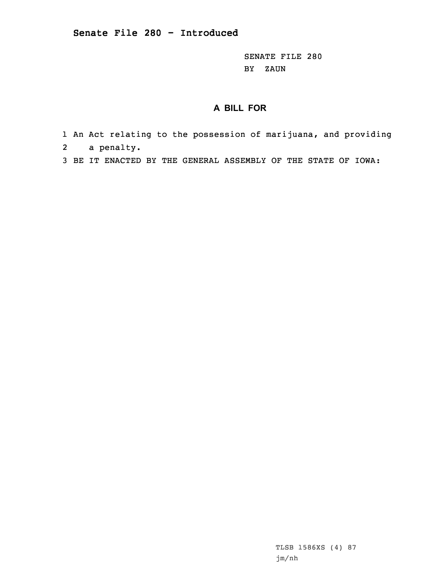SENATE FILE 280 BY ZAUN

## **A BILL FOR**

- 1 An Act relating to the possession of marijuana, and providing
- 2 <sup>a</sup> penalty.
- 3 BE IT ENACTED BY THE GENERAL ASSEMBLY OF THE STATE OF IOWA:

TLSB 1586XS (4) 87 jm/nh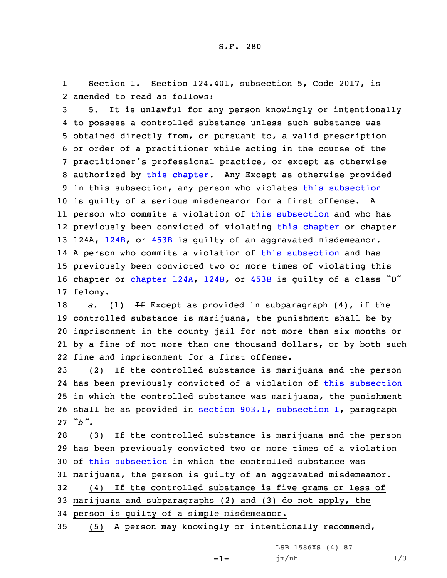1 Section 1. Section 124.401, subsection 5, Code 2017, is 2 amended to read as follows:

 5. It is unlawful for any person knowingly or intentionally to possess <sup>a</sup> controlled substance unless such substance was obtained directly from, or pursuant to, <sup>a</sup> valid prescription or order of <sup>a</sup> practitioner while acting in the course of the practitioner's professional practice, or except as otherwise 8 authorized by this [chapter](https://www.legis.iowa.gov/docs/code/2017/124.pdf). Any Except as otherwise provided in this subsection, any person who violates this [subsection](https://www.legis.iowa.gov/docs/code/2017/124.401.pdf) is guilty of <sup>a</sup> serious misdemeanor for <sup>a</sup> first offense. <sup>A</sup> person who commits <sup>a</sup> violation of this [subsection](https://www.legis.iowa.gov/docs/code/2017/124.401.pdf) and who has previously been convicted of violating this [chapter](https://www.legis.iowa.gov/docs/code/2017/124.pdf) or chapter 13 124A, [124B](https://www.legis.iowa.gov/docs/code/2017/124B.pdf), or [453B](https://www.legis.iowa.gov/docs/code/2017/453B.pdf) is guilty of an aggravated misdemeanor. <sup>A</sup> person who commits <sup>a</sup> violation of this [subsection](https://www.legis.iowa.gov/docs/code/2017/124.401.pdf) and has previously been convicted two or more times of violating this chapter or [chapter](https://www.legis.iowa.gov/docs/code/2017/124A.pdf) 124A, [124B](https://www.legis.iowa.gov/docs/code/2017/124B.pdf), or [453B](https://www.legis.iowa.gov/docs/code/2017/453B.pdf) is guilty of <sup>a</sup> class "D" 17 felony.

*a.* (1) <del>If</del> Except as provided in subparagraph (4), if the controlled substance is marijuana, the punishment shall be by imprisonment in the county jail for not more than six months or by <sup>a</sup> fine of not more than one thousand dollars, or by both such fine and imprisonment for <sup>a</sup> first offense.

 (2) If the controlled substance is marijuana and the person has been previously convicted of <sup>a</sup> violation of this [subsection](https://www.legis.iowa.gov/docs/code/2017/124.401.pdf) in which the controlled substance was marijuana, the punishment shall be as provided in section 903.1, [subsection](https://www.legis.iowa.gov/docs/code/2017/903.1.pdf) 1, paragraph 27 *"b"*.

 (3) If the controlled substance is marijuana and the person has been previously convicted two or more times of <sup>a</sup> violation of this [subsection](https://www.legis.iowa.gov/docs/code/2017/124.401.pdf) in which the controlled substance was marijuana, the person is guilty of an aggravated misdemeanor. (4) If the controlled substance is five grams or less of marijuana and subparagraphs (2) and (3) do not apply, the

34 person is guilty of <sup>a</sup> simple misdemeanor.

35 (5) <sup>A</sup> person may knowingly or intentionally recommend,

-1-

LSB 1586XS (4) 87 jm/nh 1/3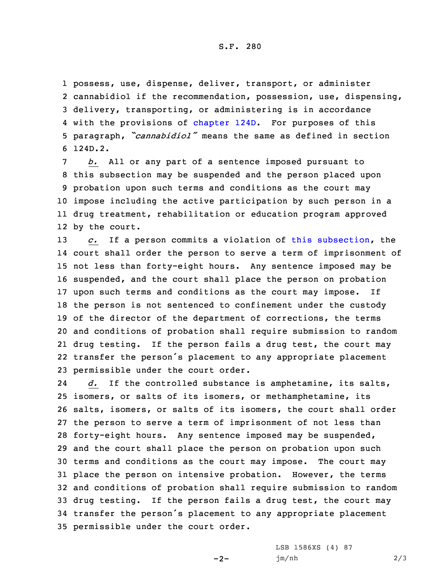S.F. 280

 possess, use, dispense, deliver, transport, or administer cannabidiol if the recommendation, possession, use, dispensing, delivery, transporting, or administering is in accordance 4 with the provisions of [chapter](https://www.legis.iowa.gov/docs/code/2017/124D.pdf) 124D. For purposes of this paragraph, *"cannabidiol"* means the same as defined in section 6 124D.2.

 *b.* All or any part of <sup>a</sup> sentence imposed pursuant to this subsection may be suspended and the person placed upon probation upon such terms and conditions as the court may impose including the active participation by such person in <sup>a</sup> drug treatment, rehabilitation or education program approved by the court.

 *c.* If <sup>a</sup> person commits <sup>a</sup> violation of this [subsection](https://www.legis.iowa.gov/docs/code/2017/124.401.pdf), the court shall order the person to serve <sup>a</sup> term of imprisonment of not less than forty-eight hours. Any sentence imposed may be suspended, and the court shall place the person on probation upon such terms and conditions as the court may impose. If the person is not sentenced to confinement under the custody 19 of the director of the department of corrections, the terms and conditions of probation shall require submission to random drug testing. If the person fails <sup>a</sup> drug test, the court may transfer the person's placement to any appropriate placement permissible under the court order.

24 *d.* If the controlled substance is amphetamine, its salts, isomers, or salts of its isomers, or methamphetamine, its salts, isomers, or salts of its isomers, the court shall order the person to serve <sup>a</sup> term of imprisonment of not less than forty-eight hours. Any sentence imposed may be suspended, and the court shall place the person on probation upon such terms and conditions as the court may impose. The court may place the person on intensive probation. However, the terms and conditions of probation shall require submission to random drug testing. If the person fails <sup>a</sup> drug test, the court may transfer the person's placement to any appropriate placement permissible under the court order.

-2-

LSB 1586XS (4) 87 jm/nh 2/3